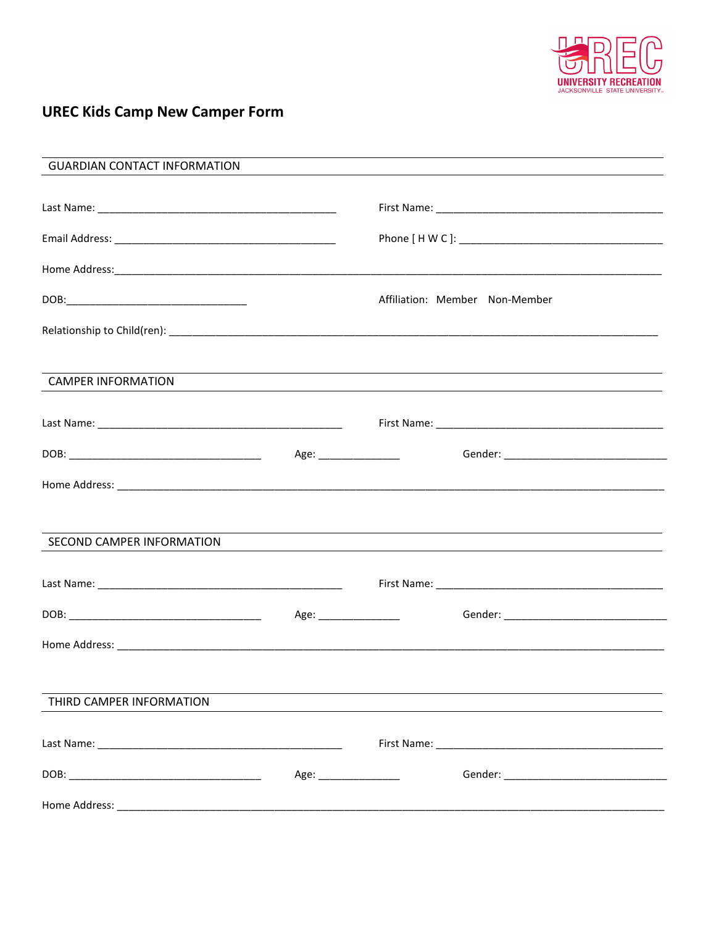

# **UREC Kids Camp New Camper Form**

| <b>GUARDIAN CONTACT INFORMATION</b> |                      | <u> 1989 - Johann Stoff, amerikansk politiker (* 1908)</u>                       |  |
|-------------------------------------|----------------------|----------------------------------------------------------------------------------|--|
|                                     |                      |                                                                                  |  |
|                                     |                      |                                                                                  |  |
|                                     |                      |                                                                                  |  |
|                                     |                      | Affiliation: Member Non-Member                                                   |  |
|                                     |                      |                                                                                  |  |
| <b>CAMPER INFORMATION</b>           |                      | ,我们也不会有什么。""我们的人,我们也不会有什么?""我们的人,我们也不会有什么?""我们的人,我们也不会有什么?""我们的人,我们也不会有什么?""我们的人 |  |
|                                     |                      |                                                                                  |  |
|                                     |                      |                                                                                  |  |
|                                     |                      |                                                                                  |  |
| SECOND CAMPER INFORMATION           |                      | ,我们也不会有什么。""我们的人,我们也不会有什么?""我们的人,我们也不会有什么?""我们的人,我们也不会有什么?""我们的人,我们也不会有什么?""我们的人 |  |
|                                     |                      |                                                                                  |  |
|                                     |                      | Age: ___________________<br>Gender: ___________________________________          |  |
|                                     |                      |                                                                                  |  |
| THIRD CAMPER INFORMATION            |                      |                                                                                  |  |
|                                     |                      |                                                                                  |  |
|                                     | Age: _______________ |                                                                                  |  |
|                                     |                      |                                                                                  |  |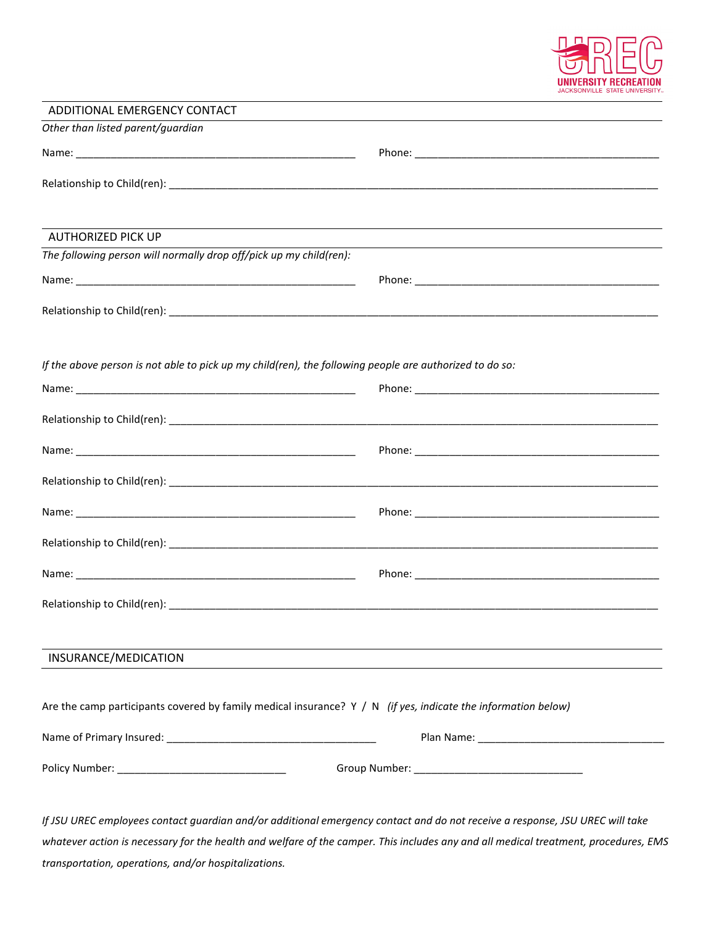

| ADDITIONAL EMERGENCY CONTACT                                                                                    |                                                                                                                  |
|-----------------------------------------------------------------------------------------------------------------|------------------------------------------------------------------------------------------------------------------|
| Other than listed parent/guardian                                                                               |                                                                                                                  |
|                                                                                                                 |                                                                                                                  |
|                                                                                                                 |                                                                                                                  |
|                                                                                                                 |                                                                                                                  |
|                                                                                                                 |                                                                                                                  |
| <b>AUTHORIZED PICK UP</b>                                                                                       | and the control of the control of the control of the control of the control of the control of the control of the |
| The following person will normally drop off/pick up my child(ren):                                              |                                                                                                                  |
|                                                                                                                 |                                                                                                                  |
|                                                                                                                 |                                                                                                                  |
|                                                                                                                 |                                                                                                                  |
|                                                                                                                 |                                                                                                                  |
| If the above person is not able to pick up my child(ren), the following people are authorized to do so:         |                                                                                                                  |
|                                                                                                                 |                                                                                                                  |
|                                                                                                                 |                                                                                                                  |
|                                                                                                                 |                                                                                                                  |
|                                                                                                                 |                                                                                                                  |
|                                                                                                                 |                                                                                                                  |
|                                                                                                                 |                                                                                                                  |
|                                                                                                                 |                                                                                                                  |
|                                                                                                                 |                                                                                                                  |
|                                                                                                                 |                                                                                                                  |
|                                                                                                                 |                                                                                                                  |
|                                                                                                                 |                                                                                                                  |
|                                                                                                                 |                                                                                                                  |
| INSURANCE/MEDICATION                                                                                            |                                                                                                                  |
|                                                                                                                 |                                                                                                                  |
| Are the camp participants covered by family medical insurance? $Y / N$ (if yes, indicate the information below) |                                                                                                                  |
|                                                                                                                 |                                                                                                                  |
|                                                                                                                 |                                                                                                                  |
|                                                                                                                 |                                                                                                                  |
|                                                                                                                 |                                                                                                                  |
|                                                                                                                 |                                                                                                                  |

*If JSU UREC employees contact guardian and/or additional emergency contact and do not receive a response, JSU UREC will take whatever action is necessary for the health and welfare of the camper. This includes any and all medical treatment, procedures, EMS transportation, operations, and/or hospitalizations.*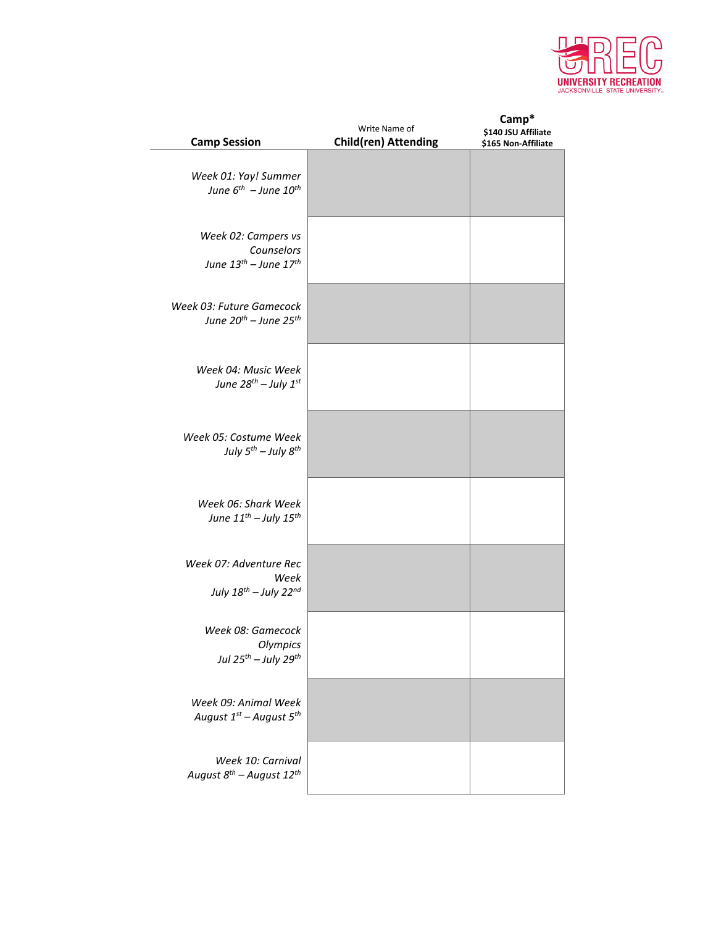

| <b>Camp Session</b>                                                           | Write Name of<br><b>Child(ren) Attending</b> | Camp*<br>\$140 JSU Affiliate<br>\$165 Non-Affiliate |
|-------------------------------------------------------------------------------|----------------------------------------------|-----------------------------------------------------|
| Week 01: Yay! Summer<br>June $6^{th}$ - June $10^{th}$                        |                                              |                                                     |
| Week 02: Campers vs<br>Counselors<br>June $13^{th}$ - June $17^{th}$          |                                              |                                                     |
| Week 03: Future Gamecock<br>June $20^{th}$ – June $25^{th}$                   |                                              |                                                     |
| Week 04: Music Week<br>June $28^{th}$ - July $1^{st}$                         |                                              |                                                     |
| Week 05: Costume Week<br>July $5^{th}$ - July $8^{th}$                        |                                              |                                                     |
| Week 06: Shark Week<br>June $11^{th}$ - July $15^{th}$                        |                                              |                                                     |
| Week 07: Adventure Rec<br>Week<br>July $18^{th}$ - July $22^{nd}$             |                                              |                                                     |
| Week 08: Gamecock<br>Olympics<br>Jul 25 <sup>th</sup> - July 29 <sup>th</sup> |                                              |                                                     |
| Week 09: Animal Week<br>August $1^{st}$ – August $5^{th}$                     |                                              |                                                     |
| Week 10: Carnival<br>August $8^{th}$ – August 12 <sup>th</sup>                |                                              |                                                     |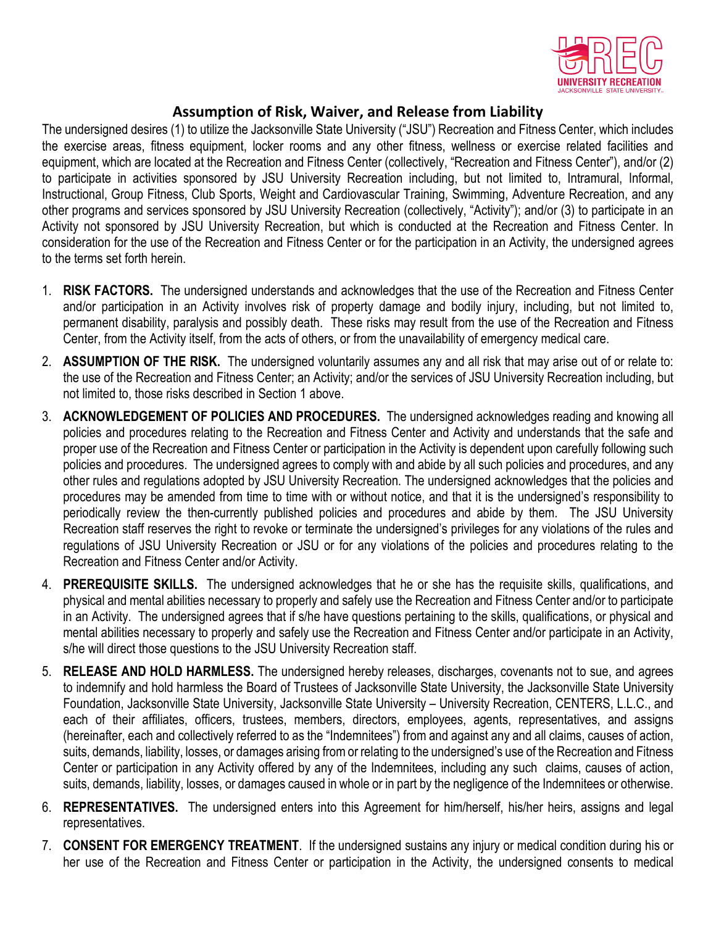

## **Assumption of Risk, Waiver, and Release from Liability**

The undersigned desires (1) to utilize the Jacksonville State University ("JSU") Recreation and Fitness Center, which includes the exercise areas, fitness equipment, locker rooms and any other fitness, wellness or exercise related facilities and equipment, which are located at the Recreation and Fitness Center (collectively, "Recreation and Fitness Center"), and/or (2) to participate in activities sponsored by JSU University Recreation including, but not limited to, Intramural, Informal, Instructional, Group Fitness, Club Sports, Weight and Cardiovascular Training, Swimming, Adventure Recreation, and any other programs and services sponsored by JSU University Recreation (collectively, "Activity"); and/or (3) to participate in an Activity not sponsored by JSU University Recreation, but which is conducted at the Recreation and Fitness Center. In consideration for the use of the Recreation and Fitness Center or for the participation in an Activity, the undersigned agrees to the terms set forth herein.

- 1. **RISK FACTORS.** The undersigned understands and acknowledges that the use of the Recreation and Fitness Center and/or participation in an Activity involves risk of property damage and bodily injury, including, but not limited to, permanent disability, paralysis and possibly death. These risks may result from the use of the Recreation and Fitness Center, from the Activity itself, from the acts of others, or from the unavailability of emergency medical care.
- 2. **ASSUMPTION OF THE RISK.** The undersigned voluntarily assumes any and all risk that may arise out of or relate to: the use of the Recreation and Fitness Center; an Activity; and/or the services of JSU University Recreation including, but not limited to, those risks described in Section 1 above.
- 3. **ACKNOWLEDGEMENT OF POLICIES AND PROCEDURES.** The undersigned acknowledges reading and knowing all policies and procedures relating to the Recreation and Fitness Center and Activity and understands that the safe and proper use of the Recreation and Fitness Center or participation in the Activity is dependent upon carefully following such policies and procedures. The undersigned agrees to comply with and abide by all such policies and procedures, and any other rules and regulations adopted by JSU University Recreation. The undersigned acknowledges that the policies and procedures may be amended from time to time with or without notice, and that it is the undersigned's responsibility to periodically review the then-currently published policies and procedures and abide by them. The JSU University Recreation staff reserves the right to revoke or terminate the undersigned's privileges for any violations of the rules and regulations of JSU University Recreation or JSU or for any violations of the policies and procedures relating to the Recreation and Fitness Center and/or Activity.
- 4. **PREREQUISITE SKILLS.** The undersigned acknowledges that he or she has the requisite skills, qualifications, and physical and mental abilities necessary to properly and safely use the Recreation and Fitness Center and/or to participate in an Activity. The undersigned agrees that if s/he have questions pertaining to the skills, qualifications, or physical and mental abilities necessary to properly and safely use the Recreation and Fitness Center and/or participate in an Activity, s/he will direct those questions to the JSU University Recreation staff.
- 5. **RELEASE AND HOLD HARMLESS.** The undersigned hereby releases, discharges, covenants not to sue, and agrees to indemnify and hold harmless the Board of Trustees of Jacksonville State University, the Jacksonville State University Foundation, Jacksonville State University, Jacksonville State University – University Recreation, CENTERS, L.L.C., and each of their affiliates, officers, trustees, members, directors, employees, agents, representatives, and assigns (hereinafter, each and collectively referred to as the "Indemnitees") from and against any and all claims, causes of action, suits, demands, liability, losses, or damages arising from or relating to the undersigned's use of the Recreation and Fitness Center or participation in any Activity offered by any of the Indemnitees, including any such claims, causes of action, suits, demands, liability, losses, or damages caused in whole or in part by the negligence of the Indemnitees or otherwise.
- 6. **REPRESENTATIVES.** The undersigned enters into this Agreement for him/herself, his/her heirs, assigns and legal representatives.
- 7. **CONSENT FOR EMERGENCY TREATMENT**. If the undersigned sustains any injury or medical condition during his or her use of the Recreation and Fitness Center or participation in the Activity, the undersigned consents to medical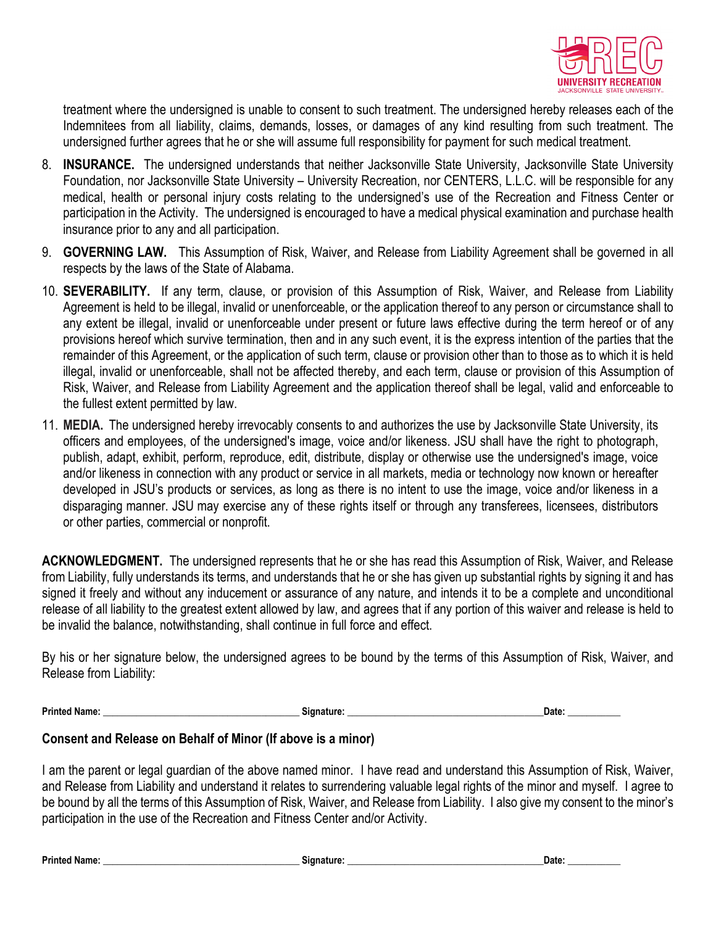

treatment where the undersigned is unable to consent to such treatment. The undersigned hereby releases each of the Indemnitees from all liability, claims, demands, losses, or damages of any kind resulting from such treatment. The undersigned further agrees that he or she will assume full responsibility for payment for such medical treatment.

- 8. **INSURANCE.** The undersigned understands that neither Jacksonville State University, Jacksonville State University Foundation, nor Jacksonville State University – University Recreation, nor CENTERS, L.L.C. will be responsible for any medical, health or personal injury costs relating to the undersigned's use of the Recreation and Fitness Center or participation in the Activity. The undersigned is encouraged to have a medical physical examination and purchase health insurance prior to any and all participation.
- 9. **GOVERNING LAW.** This Assumption of Risk, Waiver, and Release from Liability Agreement shall be governed in all respects by the laws of the State of Alabama.
- 10. **SEVERABILITY.** If any term, clause, or provision of this Assumption of Risk, Waiver, and Release from Liability Agreement is held to be illegal, invalid or unenforceable, or the application thereof to any person or circumstance shall to any extent be illegal, invalid or unenforceable under present or future laws effective during the term hereof or of any provisions hereof which survive termination, then and in any such event, it is the express intention of the parties that the remainder of this Agreement, or the application of such term, clause or provision other than to those as to which it is held illegal, invalid or unenforceable, shall not be affected thereby, and each term, clause or provision of this Assumption of Risk, Waiver, and Release from Liability Agreement and the application thereof shall be legal, valid and enforceable to the fullest extent permitted by law.
- 11. **MEDIA.** The undersigned hereby irrevocably consents to and authorizes the use by Jacksonville State University, its officers and employees, of the undersigned's image, voice and/or likeness. JSU shall have the right to photograph, publish, adapt, exhibit, perform, reproduce, edit, distribute, display or otherwise use the undersigned's image, voice and/or likeness in connection with any product or service in all markets, media or technology now known or hereafter developed in JSU's products or services, as long as there is no intent to use the image, voice and/or likeness in a disparaging manner. JSU may exercise any of these rights itself or through any transferees, licensees, distributors or other parties, commercial or nonprofit.

**ACKNOWLEDGMENT.** The undersigned represents that he or she has read this Assumption of Risk, Waiver, and Release from Liability, fully understands its terms, and understands that he or she has given up substantial rights by signing it and has signed it freely and without any inducement or assurance of any nature, and intends it to be a complete and unconditional release of all liability to the greatest extent allowed by law, and agrees that if any portion of this waiver and release is held to be invalid the balance, notwithstanding, shall continue in full force and effect.

By his or her signature below, the undersigned agrees to be bound by the terms of this Assumption of Risk, Waiver, and Release from Liability:

**Printed Name: \_\_\_\_\_\_\_\_\_\_\_\_\_\_\_\_\_\_\_\_\_\_\_\_\_\_\_\_\_\_\_\_\_\_\_\_\_\_\_\_\_ Signature: \_\_\_\_\_\_\_\_\_\_\_\_\_\_\_\_\_\_\_\_\_\_\_\_\_\_\_\_\_\_\_\_\_\_\_\_\_\_\_\_\_Date: \_\_\_\_\_\_\_\_\_\_\_**

### **Consent and Release on Behalf of Minor (If above is a minor)**

I am the parent or legal guardian of the above named minor. I have read and understand this Assumption of Risk, Waiver, and Release from Liability and understand it relates to surrendering valuable legal rights of the minor and myself. I agree to be bound by all the terms of this Assumption of Risk, Waiver, and Release from Liability. I also give my consent to the minor's participation in the use of the Recreation and Fitness Center and/or Activity.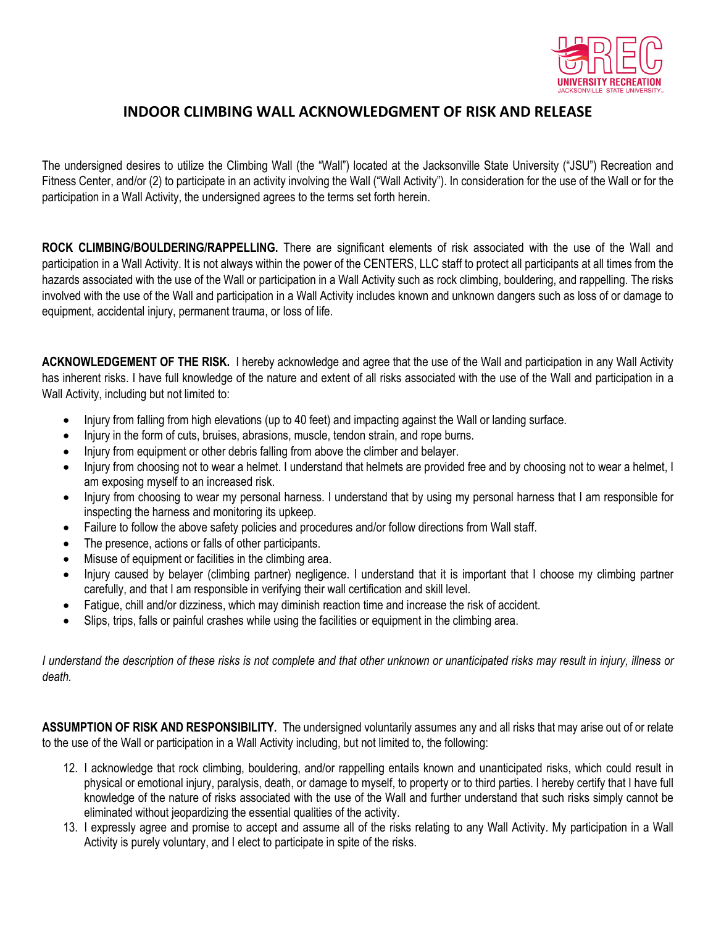

## **INDOOR CLIMBING WALL ACKNOWLEDGMENT OF RISK AND RELEASE**

The undersigned desires to utilize the Climbing Wall (the "Wall") located at the Jacksonville State University ("JSU") Recreation and Fitness Center, and/or (2) to participate in an activity involving the Wall ("Wall Activity"). In consideration for the use of the Wall or for the participation in a Wall Activity, the undersigned agrees to the terms set forth herein.

**ROCK CLIMBING/BOULDERING/RAPPELLING.** There are significant elements of risk associated with the use of the Wall and participation in a Wall Activity. It is not always within the power of the CENTERS, LLC staff to protect all participants at all times from the hazards associated with the use of the Wall or participation in a Wall Activity such as rock climbing, bouldering, and rappelling. The risks involved with the use of the Wall and participation in a Wall Activity includes known and unknown dangers such as loss of or damage to equipment, accidental injury, permanent trauma, or loss of life.

**ACKNOWLEDGEMENT OF THE RISK.** I hereby acknowledge and agree that the use of the Wall and participation in any Wall Activity has inherent risks. I have full knowledge of the nature and extent of all risks associated with the use of the Wall and participation in a Wall Activity, including but not limited to:

- Injury from falling from high elevations (up to 40 feet) and impacting against the Wall or landing surface.
- Injury in the form of cuts, bruises, abrasions, muscle, tendon strain, and rope burns.
- Injury from equipment or other debris falling from above the climber and belayer.
- Injury from choosing not to wear a helmet. I understand that helmets are provided free and by choosing not to wear a helmet, I am exposing myself to an increased risk.
- Injury from choosing to wear my personal harness. I understand that by using my personal harness that I am responsible for inspecting the harness and monitoring its upkeep.
- Failure to follow the above safety policies and procedures and/or follow directions from Wall staff.
- The presence, actions or falls of other participants.
- Misuse of equipment or facilities in the climbing area.
- Injury caused by belayer (climbing partner) negligence. I understand that it is important that I choose my climbing partner carefully, and that I am responsible in verifying their wall certification and skill level.
- Fatigue, chill and/or dizziness, which may diminish reaction time and increase the risk of accident.
- Slips, trips, falls or painful crashes while using the facilities or equipment in the climbing area.

*I understand the description of these risks is not complete and that other unknown or unanticipated risks may result in injury, illness or death.*

**ASSUMPTION OF RISK AND RESPONSIBILITY.** The undersigned voluntarily assumes any and all risks that may arise out of or relate to the use of the Wall or participation in a Wall Activity including, but not limited to, the following:

- 12. I acknowledge that rock climbing, bouldering, and/or rappelling entails known and unanticipated risks, which could result in physical or emotional injury, paralysis, death, or damage to myself, to property or to third parties. I hereby certify that I have full knowledge of the nature of risks associated with the use of the Wall and further understand that such risks simply cannot be eliminated without jeopardizing the essential qualities of the activity.
- 13. I expressly agree and promise to accept and assume all of the risks relating to any Wall Activity. My participation in a Wall Activity is purely voluntary, and I elect to participate in spite of the risks.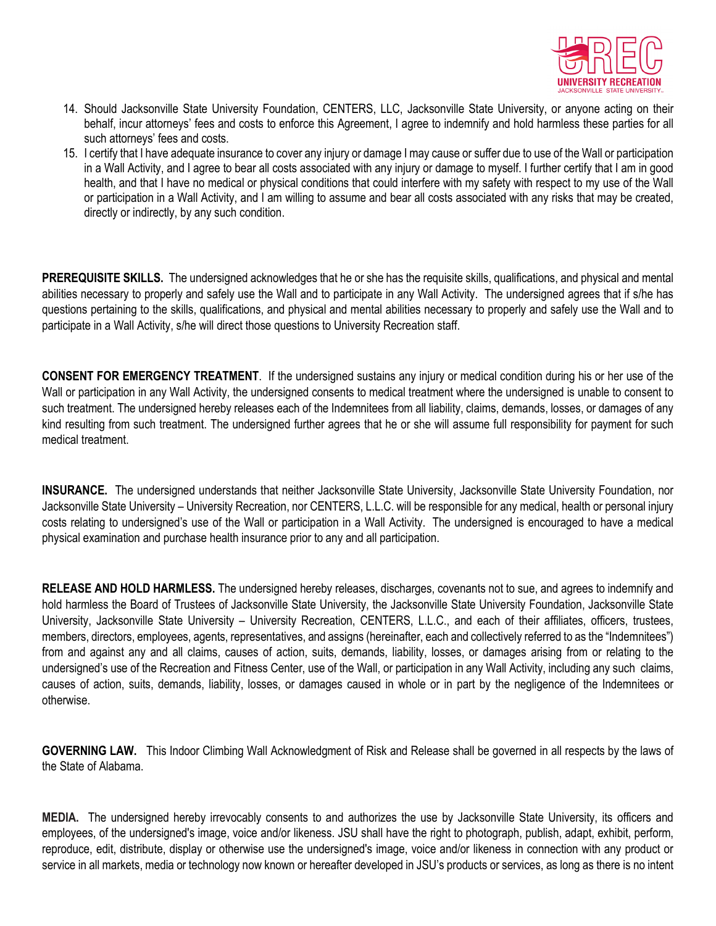

- 14. Should Jacksonville State University Foundation, CENTERS, LLC, Jacksonville State University, or anyone acting on their behalf, incur attorneys' fees and costs to enforce this Agreement, I agree to indemnify and hold harmless these parties for all such attorneys' fees and costs.
- 15. I certify that I have adequate insurance to cover any injury or damage I may cause or suffer due to use of the Wall or participation in a Wall Activity, and I agree to bear all costs associated with any injury or damage to myself. I further certify that I am in good health, and that I have no medical or physical conditions that could interfere with my safety with respect to my use of the Wall or participation in a Wall Activity, and I am willing to assume and bear all costs associated with any risks that may be created, directly or indirectly, by any such condition.

**PREREQUISITE SKILLS.** The undersigned acknowledges that he or she has the requisite skills, qualifications, and physical and mental abilities necessary to properly and safely use the Wall and to participate in any Wall Activity. The undersigned agrees that if s/he has questions pertaining to the skills, qualifications, and physical and mental abilities necessary to properly and safely use the Wall and to participate in a Wall Activity, s/he will direct those questions to University Recreation staff.

**CONSENT FOR EMERGENCY TREATMENT**. If the undersigned sustains any injury or medical condition during his or her use of the Wall or participation in any Wall Activity, the undersigned consents to medical treatment where the undersigned is unable to consent to such treatment. The undersigned hereby releases each of the Indemnitees from all liability, claims, demands, losses, or damages of any kind resulting from such treatment. The undersigned further agrees that he or she will assume full responsibility for payment for such medical treatment.

**INSURANCE.** The undersigned understands that neither Jacksonville State University, Jacksonville State University Foundation, nor Jacksonville State University – University Recreation, nor CENTERS, L.L.C. will be responsible for any medical, health or personal injury costs relating to undersigned's use of the Wall or participation in a Wall Activity. The undersigned is encouraged to have a medical physical examination and purchase health insurance prior to any and all participation.

**RELEASE AND HOLD HARMLESS.** The undersigned hereby releases, discharges, covenants not to sue, and agrees to indemnify and hold harmless the Board of Trustees of Jacksonville State University, the Jacksonville State University Foundation, Jacksonville State University, Jacksonville State University – University Recreation, CENTERS, L.L.C., and each of their affiliates, officers, trustees, members, directors, employees, agents, representatives, and assigns (hereinafter, each and collectively referred to as the "Indemnitees") from and against any and all claims, causes of action, suits, demands, liability, losses, or damages arising from or relating to the undersigned's use of the Recreation and Fitness Center, use of the Wall, or participation in any Wall Activity, including any such claims, causes of action, suits, demands, liability, losses, or damages caused in whole or in part by the negligence of the Indemnitees or otherwise.

**GOVERNING LAW.** This Indoor Climbing Wall Acknowledgment of Risk and Release shall be governed in all respects by the laws of the State of Alabama.

**MEDIA.** The undersigned hereby irrevocably consents to and authorizes the use by Jacksonville State University, its officers and employees, of the undersigned's image, voice and/or likeness. JSU shall have the right to photograph, publish, adapt, exhibit, perform, reproduce, edit, distribute, display or otherwise use the undersigned's image, voice and/or likeness in connection with any product or service in all markets, media or technology now known or hereafter developed in JSU's products or services, as long as there is no intent